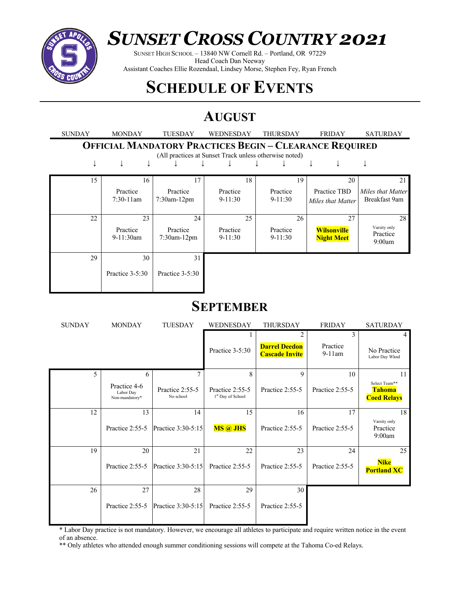

# *SUNSET CROSS COUNTRY 2021*

SUNSET HIGH SCHOOL – 13840 NW Cornell Rd. – Portland, OR 97229 Head Coach Dan Neeway Assistant Coaches Ellie Rozendaal, Lindsey Morse, Stephen Fey, Ryan French

# **SCHEDULE OF EVENTS**

### **AUGUST**

| <b>SUNDAY</b>                                                                                                            | <b>MONDAY</b>            | <b>TUESDAY</b>                 | WEDNESDAY             | THURSDAY                | <b>FRIDAY</b>                           | <b>SATURDAY</b>                    |  |
|--------------------------------------------------------------------------------------------------------------------------|--------------------------|--------------------------------|-----------------------|-------------------------|-----------------------------------------|------------------------------------|--|
| <b>OFFICIAL MANDATORY PRACTICES BEGIN - CLEARANCE REQUIRED</b><br>(All practices at Sunset Track unless otherwise noted) |                          |                                |                       |                         |                                         |                                    |  |
| ↓                                                                                                                        |                          |                                |                       |                         |                                         |                                    |  |
| 15                                                                                                                       | 16                       | 17                             | 18                    | 19                      | 20                                      | 21                                 |  |
|                                                                                                                          | Practice<br>$7:30-11$ am | Practice<br>7:30am-12pm        | Practice<br>$9-11:30$ | Practice<br>$9 - 11:30$ | Practice TBD<br>Miles that Matter       | Miles that Matter<br>Breakfast 9am |  |
| 22                                                                                                                       | 23                       | 24                             | 25                    | 26                      | 27                                      | 28                                 |  |
|                                                                                                                          | Practice<br>9-11:30am    | Practice<br>$7:30$ am- $12$ pm | Practice<br>$9-11:30$ | Practice<br>$9-11:30$   | <b>Wilsonville</b><br><b>Night Meet</b> | Varsity only<br>Practice<br>9:00am |  |
| 29                                                                                                                       | 30                       | 31                             |                       |                         |                                         |                                    |  |
|                                                                                                                          | Practice 3-5:30          | Practice 3-5:30                |                       |                         |                                         |                                    |  |

### **SEPTEMBER**

| <b>SUNDAY</b> | <b>MONDAY</b>                                    | <b>TUESDAY</b>               | WEDNESDAY                                             | <b>THURSDAY</b>                                    | <b>FRIDAY</b>              | <b>SATURDAY</b>                                            |
|---------------|--------------------------------------------------|------------------------------|-------------------------------------------------------|----------------------------------------------------|----------------------------|------------------------------------------------------------|
|               |                                                  |                              | Practice 3-5:30                                       | 2<br><b>Darrel Deedon</b><br><b>Cascade Invite</b> | 3<br>Practice<br>$9-11$ am | 4<br>No Practice<br>Labor Day Wknd                         |
| 5             | 6<br>Practice 4-6<br>Labor Day<br>Non-mandatory* | Practice 2:55-5<br>No school | 8<br>Practice 2:55-5<br>1 <sup>st</sup> Day of School | 9<br>Practice 2:55-5                               | 10<br>Practice 2:55-5      | 11<br>Select Team**<br><b>Tahoma</b><br><b>Coed Relays</b> |
| 12            | 13<br>Practice 2:55-5                            | 14<br>Practice 3:30-5:15     | 15<br><b>MS</b> @ JHS                                 | 16<br>Practice 2:55-5                              | 17<br>Practice 2:55-5      | 18<br>Varsity only<br>Practice<br>9:00am                   |
| 19            | 20<br>Practice 2:55-5                            | 21<br>Practice 3:30-5:15     | 22<br>Practice 2:55-5                                 | 23<br>Practice 2:55-5                              | 24<br>Practice 2:55-5      | 25<br><b>Nike</b><br><b>Portland XC</b>                    |
| 26            | 27<br>Practice 2:55-5                            | 28<br>Practice 3:30-5:15     | 29<br>Practice 2:55-5                                 | 30<br>Practice 2:55-5                              |                            |                                                            |

\* Labor Day practice is not mandatory. However, we encourage all athletes to participate and require written notice in the event of an absence.

\*\* Only athletes who attended enough summer conditioning sessions will compete at the Tahoma Co-ed Relays.